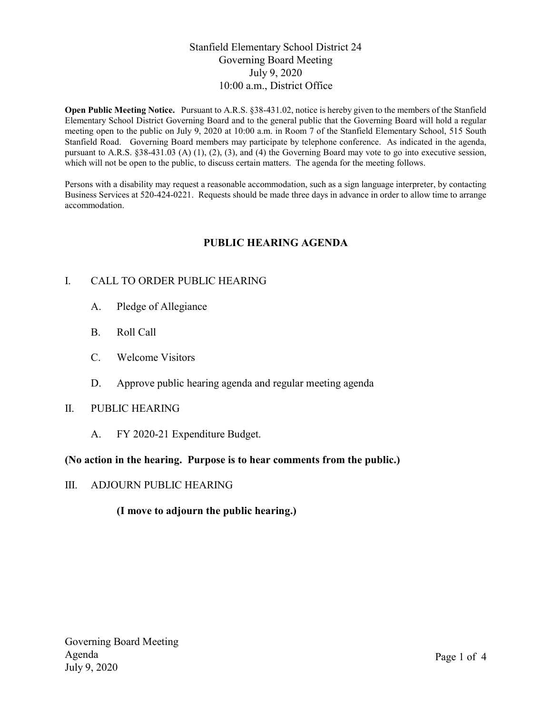## Stanfield Elementary School District 24 Governing Board Meeting July 9, 2020 10:00 a.m., District Office

Open Public Meeting Notice. Pursuant to A.R.S. §38-431.02, notice is hereby given to the members of the Stanfield Elementary School District Governing Board and to the general public that the Governing Board will hold a regular meeting open to the public on July 9, 2020 at 10:00 a.m. in Room 7 of the Stanfield Elementary School, 515 South Stanfield Road. Governing Board members may participate by telephone conference. As indicated in the agenda, pursuant to A.R.S. §38-431.03 (A) (1), (2), (3), and (4) the Governing Board may vote to go into executive session, which will not be open to the public, to discuss certain matters. The agenda for the meeting follows.

Persons with a disability may request a reasonable accommodation, such as a sign language interpreter, by contacting Business Services at 520-424-0221. Requests should be made three days in advance in order to allow time to arrange accommodation.

## PUBLIC HEARING AGENDA

## I. CALL TO ORDER PUBLIC HEARING

- A. Pledge of Allegiance
- B. Roll Call
- C. Welcome Visitors
- D. Approve public hearing agenda and regular meeting agenda

### II. PUBLIC HEARING

A. FY 2020-21 Expenditure Budget.

### (No action in the hearing. Purpose is to hear comments from the public.)

### III. ADJOURN PUBLIC HEARING

## (I move to adjourn the public hearing.)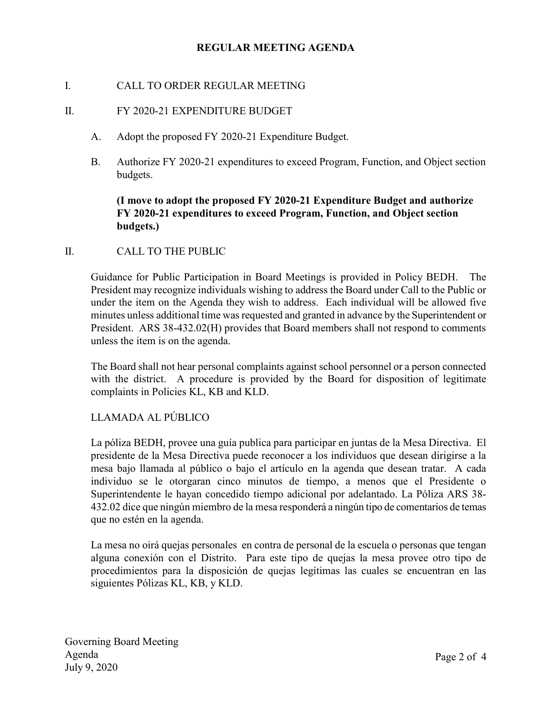## REGULAR MEETING AGENDA

### I. CALL TO ORDER REGULAR MEETING

### II. FY 2020-21 EXPENDITURE BUDGET

- A. Adopt the proposed FY 2020-21 Expenditure Budget.
- B. Authorize FY 2020-21 expenditures to exceed Program, Function, and Object section budgets.

## (I move to adopt the proposed FY 2020-21 Expenditure Budget and authorize FY 2020-21 expenditures to exceed Program, Function, and Object section budgets.)

### II. CALL TO THE PUBLIC

Guidance for Public Participation in Board Meetings is provided in Policy BEDH. The President may recognize individuals wishing to address the Board under Call to the Public or under the item on the Agenda they wish to address. Each individual will be allowed five minutes unless additional time was requested and granted in advance by the Superintendent or President. ARS 38-432.02(H) provides that Board members shall not respond to comments unless the item is on the agenda.

The Board shall not hear personal complaints against school personnel or a person connected with the district. A procedure is provided by the Board for disposition of legitimate complaints in Policies KL, KB and KLD.

# LLAMADA AL PÚBLICO

La póliza BEDH, provee una guía publica para participar en juntas de la Mesa Directiva. El presidente de la Mesa Directiva puede reconocer a los individuos que desean dirigirse a la mesa bajo llamada al público o bajo el artículo en la agenda que desean tratar. A cada individuo se le otorgaran cinco minutos de tiempo, a menos que el Presidente o Superintendente le hayan concedido tiempo adicional por adelantado. La Póliza ARS 38- 432.02 dice que ningún miembro de la mesa responderá a ningún tipo de comentarios de temas que no estén en la agenda.

La mesa no oirá quejas personales en contra de personal de la escuela o personas que tengan alguna conexión con el Distrito. Para este tipo de quejas la mesa provee otro tipo de procedimientos para la disposición de quejas legítimas las cuales se encuentran en las siguientes Pólizas KL, KB, y KLD.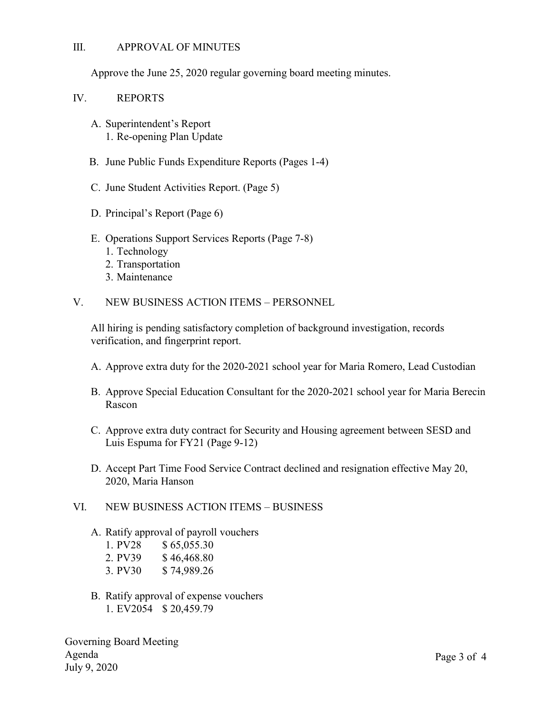### III. APPROVAL OF MINUTES

Approve the June 25, 2020 regular governing board meeting minutes.

### IV. REPORTS

- A. Superintendent's Report 1. Re-opening Plan Update
- B. June Public Funds Expenditure Reports (Pages 1-4)
- C. June Student Activities Report. (Page 5)
- D. Principal's Report (Page 6)
- E. Operations Support Services Reports (Page 7-8)
	- 1. Technology
	- 2. Transportation
	- 3. Maintenance
- V. NEW BUSINESS ACTION ITEMS PERSONNEL

All hiring is pending satisfactory completion of background investigation, records verification, and fingerprint report.

- A. Approve extra duty for the 2020-2021 school year for Maria Romero, Lead Custodian
- B. Approve Special Education Consultant for the 2020-2021 school year for Maria Berecin Rascon
- C. Approve extra duty contract for Security and Housing agreement between SESD and Luis Espuma for FY21 (Page 9-12)
- D. Accept Part Time Food Service Contract declined and resignation effective May 20, 2020, Maria Hanson

### VI. NEW BUSINESS ACTION ITEMS – BUSINESS

- A. Ratify approval of payroll vouchers
	- 1. PV28 \$ 65,055.30
	- 2. PV39 \$46,468.80
	- 3. PV30 \$ 74,989.26
- B. Ratify approval of expense vouchers 1. EV2054 \$ 20,459.79